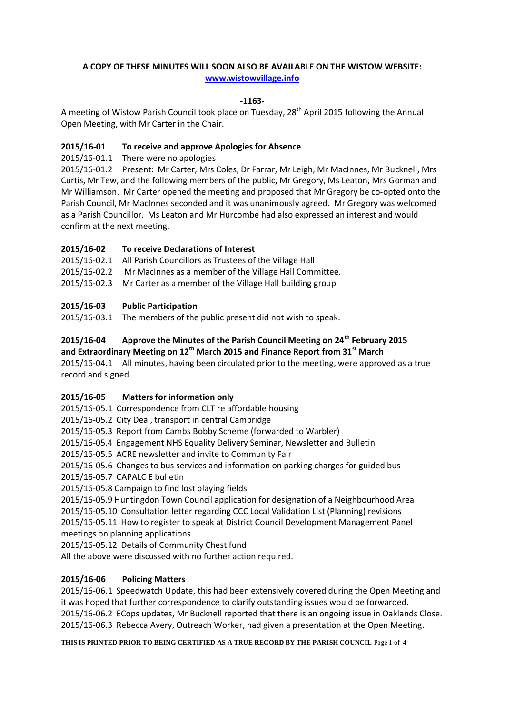# **A COPY OF THESE MINUTES WILL SOON ALSO BE AVAILABLE ON THE WISTOW WEBSITE: [www.wistowvillage.info](http://www.wistowvillage.info/)**

### **-1163-**

A meeting of Wistow Parish Council took place on Tuesday, 28<sup>th</sup> April 2015 following the Annual Open Meeting, with Mr Carter in the Chair.

### **2015/16-01 To receive and approve Apologies for Absence**

2015/16-01.1 There were no apologies

2015/16-01.2 Present: Mr Carter, Mrs Coles, Dr Farrar, Mr Leigh, Mr MacInnes, Mr Bucknell, Mrs Curtis, Mr Tew, and the following members of the public, Mr Gregory, Ms Leaton, Mrs Gorman and Mr Williamson. Mr Carter opened the meeting and proposed that Mr Gregory be co-opted onto the Parish Council, Mr MacInnes seconded and it was unanimously agreed. Mr Gregory was welcomed as a Parish Councillor. Ms Leaton and Mr Hurcombe had also expressed an interest and would confirm at the next meeting.

# **2015/16-02 To receive Declarations of Interest**

2015/16-02.1 All Parish Councillors as Trustees of the Village Hall

- 2015/16-02.2 Mr MacInnes as a member of the Village Hall Committee.
- 2015/16-02.3 Mr Carter as a member of the Village Hall building group

# **2015/16-03 Public Participation**

2015/16-03.1 The members of the public present did not wish to speak.

# **2015/16-04 Approve the Minutes of the Parish Council Meeting on 24th February 2015 and Extraordinary Meeting on 12th March 2015 and Finance Report from 31st March**

2015/16-04.1 All minutes, having been circulated prior to the meeting, were approved as a true record and signed.

# **2015/16-05 Matters for information only**

2015/16-05.1 Correspondence from CLT re affordable housing

2015/16-05.2 City Deal, transport in central Cambridge

2015/16-05.3 Report from Cambs Bobby Scheme (forwarded to Warbler)

2015/16-05.4 Engagement NHS Equality Delivery Seminar, Newsletter and Bulletin

2015/16-05.5 ACRE newsletter and invite to Community Fair

2015/16-05.6 Changes to bus services and information on parking charges for guided bus

2015/16-05.7 CAPALC E bulletin

2015/16-05.8 Campaign to find lost playing fields

2015/16-05.9 Huntingdon Town Council application for designation of a Neighbourhood Area 2015/16-05.10 Consultation letter regarding CCC Local Validation List (Planning) revisions

2015/16-05.11 How to register to speak at District Council Development Management Panel meetings on planning applications

2015/16-05.12 Details of Community Chest fund

All the above were discussed with no further action required.

# **2015/16-06 Policing Matters**

2015/16-06.1 Speedwatch Update, this had been extensively covered during the Open Meeting and it was hoped that further correspondence to clarify outstanding issues would be forwarded. 2015/16-06.2 ECops updates, Mr Bucknell reported that there is an ongoing issue in Oaklands Close. 2015/16-06.3 Rebecca Avery, Outreach Worker, had given a presentation at the Open Meeting.

**THIS IS PRINTED PRIOR TO BEING CERTIFIED AS A TRUE RECORD BY THE PARISH COUNCIL** Page 1 of 4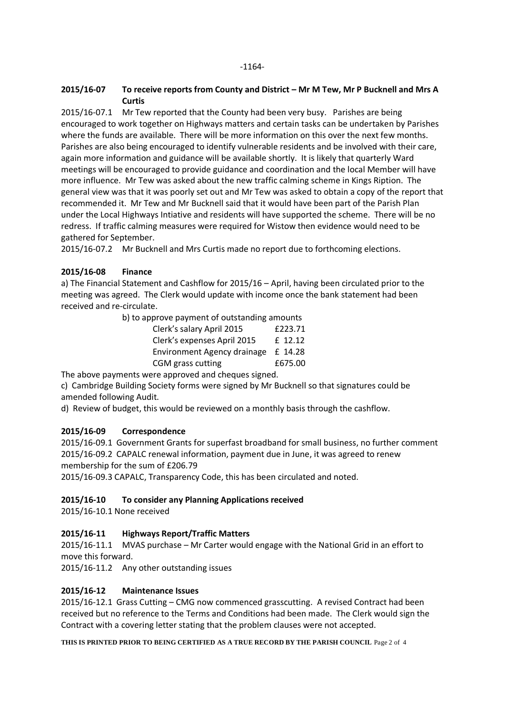#### **2015/16-07 To receive reports from County and District – Mr M Tew, Mr P Bucknell and Mrs A Curtis**

2015/16-07.1 Mr Tew reported that the County had been very busy. Parishes are being encouraged to work together on Highways matters and certain tasks can be undertaken by Parishes where the funds are available. There will be more information on this over the next few months. Parishes are also being encouraged to identify vulnerable residents and be involved with their care, again more information and guidance will be available shortly. It is likely that quarterly Ward meetings will be encouraged to provide guidance and coordination and the local Member will have more influence. Mr Tew was asked about the new traffic calming scheme in Kings Ription. The general view was that it was poorly set out and Mr Tew was asked to obtain a copy of the report that recommended it. Mr Tew and Mr Bucknell said that it would have been part of the Parish Plan under the Local Highways Intiative and residents will have supported the scheme. There will be no redress. If traffic calming measures were required for Wistow then evidence would need to be gathered for September.

2015/16-07.2 Mr Bucknell and Mrs Curtis made no report due to forthcoming elections.

# **2015/16-08 Finance**

a) The Financial Statement and Cashflow for 2015/16 – April, having been circulated prior to the meeting was agreed. The Clerk would update with income once the bank statement had been received and re-circulate.

> b) to approve payment of outstanding amounts Clerk's salary April 2015 £223.71 Clerk's expenses April 2015 £ 12.12 Environment Agency drainage £ 14.28 CGM grass cutting E675.00

The above payments were approved and cheques signed.

c) Cambridge Building Society forms were signed by Mr Bucknell so that signatures could be amended following Audit.

d) Review of budget, this would be reviewed on a monthly basis through the cashflow.

# **2015/16-09 Correspondence**

2015/16-09.1 Government Grants for superfast broadband for small business, no further comment 2015/16-09.2 CAPALC renewal information, payment due in June, it was agreed to renew membership for the sum of £206.79

2015/16-09.3 CAPALC, Transparency Code, this has been circulated and noted.

#### **2015/16-10 To consider any Planning Applications received**

2015/16-10.1 None received

# **2015/16-11 Highways Report/Traffic Matters**

2015/16-11.1 MVAS purchase – Mr Carter would engage with the National Grid in an effort to move this forward.

2015/16-11.2 Any other outstanding issues

# **2015/16-12 Maintenance Issues**

2015/16-12.1 Grass Cutting – CMG now commenced grasscutting. A revised Contract had been received but no reference to the Terms and Conditions had been made. The Clerk would sign the Contract with a covering letter stating that the problem clauses were not accepted.

**THIS IS PRINTED PRIOR TO BEING CERTIFIED AS A TRUE RECORD BY THE PARISH COUNCIL** Page 2 of 4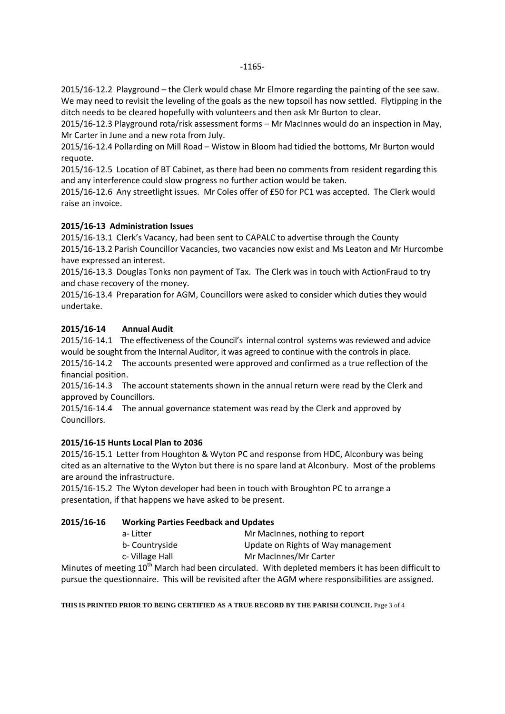2015/16-12.2 Playground – the Clerk would chase Mr Elmore regarding the painting of the see saw. We may need to revisit the leveling of the goals as the new topsoil has now settled. Flytipping in the ditch needs to be cleared hopefully with volunteers and then ask Mr Burton to clear.

2015/16-12.3 Playground rota/risk assessment forms – Mr MacInnes would do an inspection in May, Mr Carter in June and a new rota from July.

2015/16-12.4 Pollarding on Mill Road – Wistow in Bloom had tidied the bottoms, Mr Burton would requote.

2015/16-12.5 Location of BT Cabinet, as there had been no comments from resident regarding this and any interference could slow progress no further action would be taken.

2015/16-12.6 Any streetlight issues. Mr Coles offer of £50 for PC1 was accepted. The Clerk would raise an invoice.

### **2015/16-13 Administration Issues**

2015/16-13.1 Clerk's Vacancy, had been sent to CAPALC to advertise through the County 2015/16-13.2 Parish Councillor Vacancies, two vacancies now exist and Ms Leaton and Mr Hurcombe have expressed an interest.

2015/16-13.3 Douglas Tonks non payment of Tax. The Clerk was in touch with ActionFraud to try and chase recovery of the money.

2015/16-13.4 Preparation for AGM, Councillors were asked to consider which duties they would undertake.

### **2015/16-14 Annual Audit**

2015/16-14.1 The effectiveness of the Council's internal control systems was reviewed and advice would be sought from the Internal Auditor, it was agreed to continue with the controls in place.

2015/16-14.2 The accounts presented were approved and confirmed as a true reflection of the financial position.

2015/16-14.3 The account statements shown in the annual return were read by the Clerk and approved by Councillors.

2015/16-14.4 The annual governance statement was read by the Clerk and approved by Councillors.

# **2015/16-15 Hunts Local Plan to 2036**

2015/16-15.1 Letter from Houghton & Wyton PC and response from HDC, Alconbury was being cited as an alternative to the Wyton but there is no spare land at Alconbury. Most of the problems are around the infrastructure.

2015/16-15.2 The Wyton developer had been in touch with Broughton PC to arrange a presentation, if that happens we have asked to be present.

#### **2015/16-16 Working Parties Feedback and Updates**

| a-Litter       | Mr MacInnes, nothing to report     |
|----------------|------------------------------------|
| b- Countryside | Update on Rights of Way management |
| c-Village Hall | Mr MacInnes/Mr Carter              |

Minutes of meeting  $10^{th}$  March had been circulated. With depleted members it has been difficult to pursue the questionnaire. This will be revisited after the AGM where responsibilities are assigned.

**THIS IS PRINTED PRIOR TO BEING CERTIFIED AS A TRUE RECORD BY THE PARISH COUNCIL** Page 3 of 4